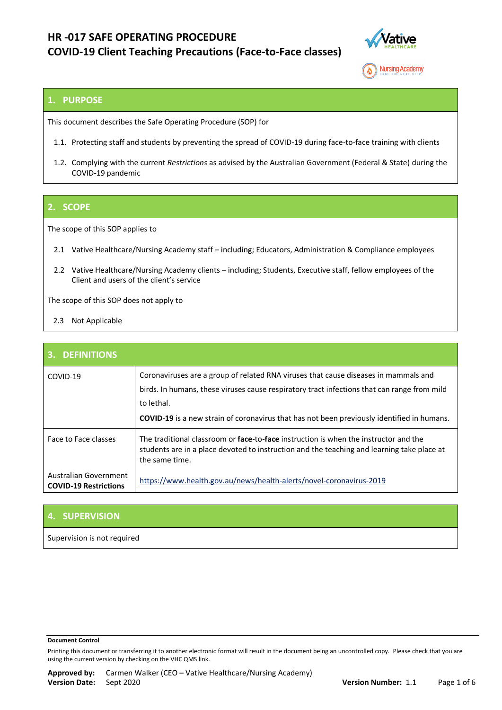

**Nursing Academy** 

## **1. PURPOSE**

This document describes the Safe Operating Procedure (SOP) for

- 1.1. Protecting staff and students by preventing the spread of COVID-19 during face-to-face training with clients
- 1.2. Complying with the current *Restrictions* as advised by the Australian Government (Federal & State) during the COVID-19 pandemic

### **2. SCOPE**

The scope of this SOP applies to

- 2.1 Vative Healthcare/Nursing Academy staff including; Educators, Administration & Compliance employees
- 2.2 Vative Healthcare/Nursing Academy clients including; Students, Executive staff, fellow employees of the Client and users of the client's service

The scope of this SOP does not apply to

2.3 Not Applicable

| <b>3. DEFINITIONS</b>                                 |                                                                                                                                                                                                                                                                                                       |
|-------------------------------------------------------|-------------------------------------------------------------------------------------------------------------------------------------------------------------------------------------------------------------------------------------------------------------------------------------------------------|
| COVID-19                                              | Coronaviruses are a group of related RNA viruses that cause diseases in mammals and<br>birds. In humans, these viruses cause respiratory tract infections that can range from mild<br>to lethal.<br><b>COVID-19</b> is a new strain of coronavirus that has not been previously identified in humans. |
| Face to Face classes                                  | The traditional classroom or face-to-face instruction is when the instructor and the<br>students are in a place devoted to instruction and the teaching and learning take place at<br>the same time.                                                                                                  |
| Australian Government<br><b>COVID-19 Restrictions</b> | https://www.health.gov.au/news/health-alerts/novel-coronavirus-2019                                                                                                                                                                                                                                   |

## **4. SUPERVISION**

Supervision is not required

#### **Document Control**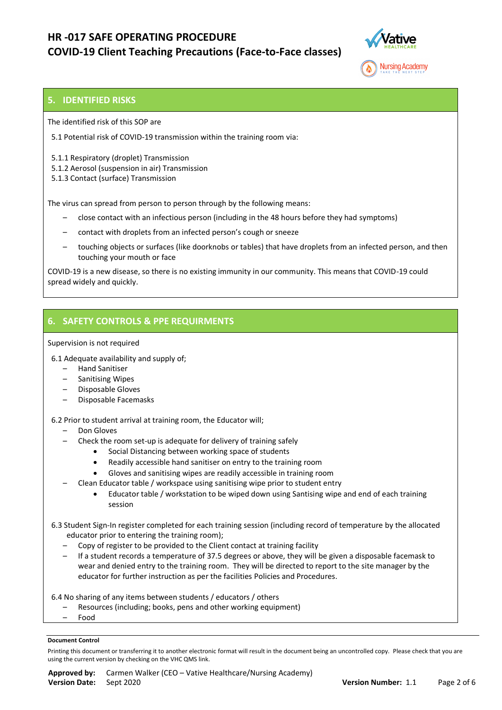

### **5. IDENTIFIED RISKS**

The identified risk of this SOP are

5.1 Potential risk of COVID-19 transmission within the training room via:

5.1.1 Respiratory (droplet) Transmission

5.1.2 Aerosol (suspension in air) Transmission

5.1.3 Contact (surface) Transmission

The virus can spread from person to person through by the following means:

- close contact with an infectious person (including in the 48 hours before they had [symptoms\)](https://www.healthdirect.gov.au/coronavirus-covid-19-symptoms-and-how-the-virus-spreads-faqs)
- contact with droplets from an infected person's cough or sneeze
- touching objects or surfaces (like doorknobs or tables) that have droplets from an infected person, and then touching your mouth or face

COVID-19 is a new disease, so there is no existing immunity in our community. This means that COVID-19 could spread widely and quickly.

## **6. SAFETY CONTROLS & PPE REQUIRMENTS**

### Supervision is not required

6.1 Adequate availability and supply of;

- Hand Sanitiser
- Sanitising Wipes
- Disposable Gloves
- Disposable Facemasks

### 6.2 Prior to student arrival at training room, the Educator will;

- Don Gloves
	- Check the room set-up is adequate for delivery of training safely
		- Social Distancing between working space of students
		- Readily accessible hand sanitiser on entry to the training room
		- Gloves and sanitising wipes are readily accessible in training room
- Clean Educator table / workspace using sanitising wipe prior to student entry
	- Educator table / workstation to be wiped down using Santising wipe and end of each training session

 6.3 Student Sign-In register completed for each training session (including record of temperature by the allocated educator prior to entering the training room);

- Copy of register to be provided to the Client contact at training facility
- If a student records a temperature of 37.5 degrees or above, they will be given a disposable facemask to wear and denied entry to the training room. They will be directed to report to the site manager by the educator for further instruction as per the facilities Policies and Procedures.

6.4 No sharing of any items between students / educators / others

- Resources (including; books, pens and other working equipment)
- Food

### **Document Control**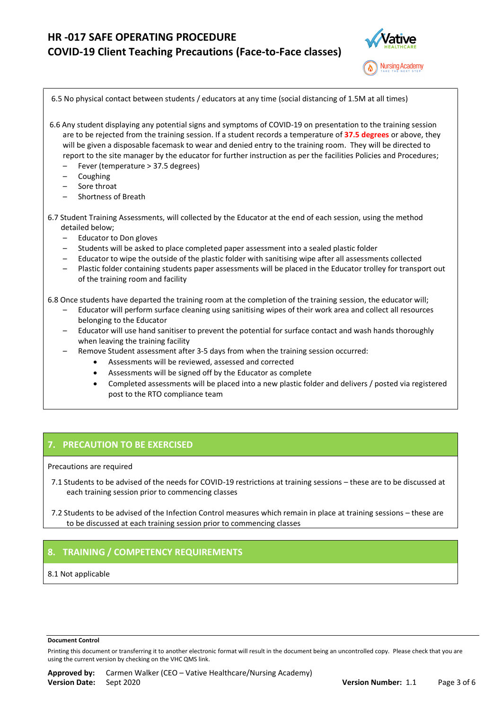

| 6.5 No physical contact between students / educators at any time (social distancing of 1.5M at all times)                                                                                                                                                                                                                                                                                                                                                                                                                                                                                                                                                                                                                                                                                       |
|-------------------------------------------------------------------------------------------------------------------------------------------------------------------------------------------------------------------------------------------------------------------------------------------------------------------------------------------------------------------------------------------------------------------------------------------------------------------------------------------------------------------------------------------------------------------------------------------------------------------------------------------------------------------------------------------------------------------------------------------------------------------------------------------------|
| 6.6 Any student displaying any potential signs and symptoms of COVID-19 on presentation to the training session<br>are to be rejected from the training session. If a student records a temperature of 37.5 degrees or above, they<br>will be given a disposable facemask to wear and denied entry to the training room. They will be directed to<br>report to the site manager by the educator for further instruction as per the facilities Policies and Procedures;<br>Fever (temperature > 37.5 degrees)<br>Coughing<br>-<br>Sore throat<br>$\overline{\phantom{0}}$<br><b>Shortness of Breath</b><br>-                                                                                                                                                                                     |
| 6.7 Student Training Assessments, will collected by the Educator at the end of each session, using the method<br>detailed below;<br><b>Educator to Don gloves</b><br>-<br>Students will be asked to place completed paper assessment into a sealed plastic folder<br>-<br>Educator to wipe the outside of the plastic folder with sanitising wipe after all assessments collected<br>—<br>Plastic folder containing students paper assessments will be placed in the Educator trolley for transport out<br>-<br>of the training room and facility                                                                                                                                                                                                                                               |
| 6.8 Once students have departed the training room at the completion of the training session, the educator will;<br>Educator will perform surface cleaning using sanitising wipes of their work area and collect all resources<br>belonging to the Educator<br>Educator will use hand sanitiser to prevent the potential for surface contact and wash hands thoroughly<br>when leaving the training facility<br>Remove Student assessment after 3-5 days from when the training session occurred:<br>-<br>Assessments will be reviewed, assessed and corrected<br>Assessments will be signed off by the Educator as complete<br>$\bullet$<br>Completed assessments will be placed into a new plastic folder and delivers / posted via registered<br>$\bullet$<br>post to the RTO compliance team |

## **7. PRECAUTION TO BE EXERCISED**

Precautions are required

- 7.1 Students to be advised of the needs for COVID-19 restrictions at training sessions these are to be discussed at each training session prior to commencing classes
- 7.2 Students to be advised of the Infection Control measures which remain in place at training sessions these are to be discussed at each training session prior to commencing classes

## **8. TRAINING / COMPETENCY REQUIREMENTS**

8.1 Not applicable

#### **Document Control**

Printing this document or transferring it to another electronic format will result in the document being an uncontrolled copy. Please check that you are using the current version by checking on the VHC QMS link.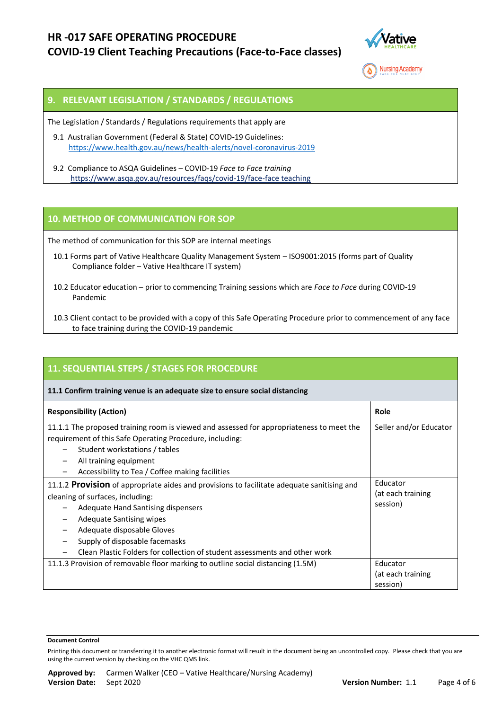



## **9. RELEVANT LEGISLATION / STANDARDS / REGULATIONS**

The Legislation / Standards / Regulations requirements that apply are

- 9.1 Australian Government (Federal & State) COVID-19 Guidelines: <https://www.health.gov.au/news/health-alerts/novel-coronavirus-2019>
- 9.2 Compliance to ASQA Guidelines COVID-19 *Face to Face training* <https://www.asqa.gov.au/resources/faqs/covid-19/face-face> teaching

## **10. METHOD OF COMMUNICATION FOR SOP**

The method of communication for this SOP are internal meetings

- 10.1 Forms part of Vative Healthcare Quality Management System ISO9001:2015 (forms part of Quality Compliance folder – Vative Healthcare IT system)
- 10.2 Educator education prior to commencing Training sessions which are *Face to Face* during COVID-19 Pandemic
- 10.3 Client contact to be provided with a copy of this Safe Operating Procedure prior to commencement of any face to face training during the COVID-19 pandemic

| 11. SEQUENTIAL STEPS / STAGES FOR PROCEDURE                                                                                                                                                                                                                                                                                                           |                                           |  |  |
|-------------------------------------------------------------------------------------------------------------------------------------------------------------------------------------------------------------------------------------------------------------------------------------------------------------------------------------------------------|-------------------------------------------|--|--|
| 11.1 Confirm training venue is an adequate size to ensure social distancing                                                                                                                                                                                                                                                                           |                                           |  |  |
| <b>Responsibility (Action)</b>                                                                                                                                                                                                                                                                                                                        | Role                                      |  |  |
| 11.1.1 The proposed training room is viewed and assessed for appropriateness to meet the<br>requirement of this Safe Operating Procedure, including:<br>Student workstations / tables<br>All training equipment<br>Accessibility to Tea / Coffee making facilities                                                                                    | Seller and/or Educator                    |  |  |
| 11.1.2 Provision of appropriate aides and provisions to facilitate adequate sanitising and<br>cleaning of surfaces, including:<br>Adequate Hand Santising dispensers<br><b>Adequate Santising wipes</b><br>Adequate disposable Gloves<br>Supply of disposable facemasks<br>Clean Plastic Folders for collection of student assessments and other work | Educator<br>(at each training<br>session) |  |  |
| 11.1.3 Provision of removable floor marking to outline social distancing (1.5M)                                                                                                                                                                                                                                                                       | Educator<br>(at each training<br>session) |  |  |

#### **Document Control**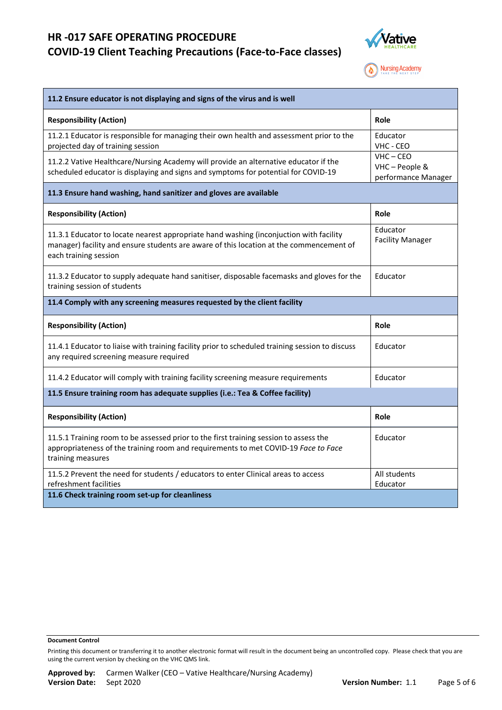

**Nursing Academy** 

| 11.2 Ensure educator is not displaying and signs of the virus and is well                                                                                                                                  |                                                      |  |  |  |
|------------------------------------------------------------------------------------------------------------------------------------------------------------------------------------------------------------|------------------------------------------------------|--|--|--|
| <b>Responsibility (Action)</b>                                                                                                                                                                             | <b>Role</b>                                          |  |  |  |
| 11.2.1 Educator is responsible for managing their own health and assessment prior to the<br>projected day of training session                                                                              | Educator<br>VHC - CEO                                |  |  |  |
| 11.2.2 Vative Healthcare/Nursing Academy will provide an alternative educator if the<br>scheduled educator is displaying and signs and symptoms for potential for COVID-19                                 | $VHC - CEO$<br>VHC - People &<br>performance Manager |  |  |  |
| 11.3 Ensure hand washing, hand sanitizer and gloves are available                                                                                                                                          |                                                      |  |  |  |
| <b>Responsibility (Action)</b>                                                                                                                                                                             | Role                                                 |  |  |  |
| 11.3.1 Educator to locate nearest appropriate hand washing (inconjuction with facility<br>manager) facility and ensure students are aware of this location at the commencement of<br>each training session | Educator<br><b>Facility Manager</b>                  |  |  |  |
| 11.3.2 Educator to supply adequate hand sanitiser, disposable facemasks and gloves for the<br>training session of students                                                                                 | Educator                                             |  |  |  |
| 11.4 Comply with any screening measures requested by the client facility                                                                                                                                   |                                                      |  |  |  |
| <b>Responsibility (Action)</b>                                                                                                                                                                             | Role                                                 |  |  |  |
| 11.4.1 Educator to liaise with training facility prior to scheduled training session to discuss<br>any required screening measure required                                                                 | Educator                                             |  |  |  |
| 11.4.2 Educator will comply with training facility screening measure requirements                                                                                                                          | Educator                                             |  |  |  |
| 11.5 Ensure training room has adequate supplies (i.e.: Tea & Coffee facility)                                                                                                                              |                                                      |  |  |  |
| <b>Responsibility (Action)</b>                                                                                                                                                                             | Role                                                 |  |  |  |
| 11.5.1 Training room to be assessed prior to the first training session to assess the<br>appropriateness of the training room and requirements to met COVID-19 Face to Face<br>training measures           | Educator                                             |  |  |  |
| 11.5.2 Prevent the need for students / educators to enter Clinical areas to access<br>refreshment facilities                                                                                               | All students<br>Educator                             |  |  |  |
| 11.6 Check training room set-up for cleanliness                                                                                                                                                            |                                                      |  |  |  |

#### **Document Control**